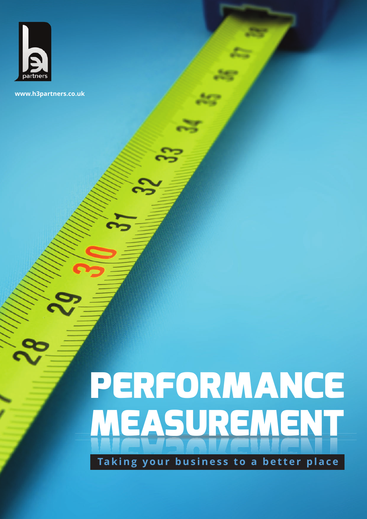

**www.h3partners.co.uk**

# **PERFORMANCE MEASUREMENT**

**Taking your business to a better place**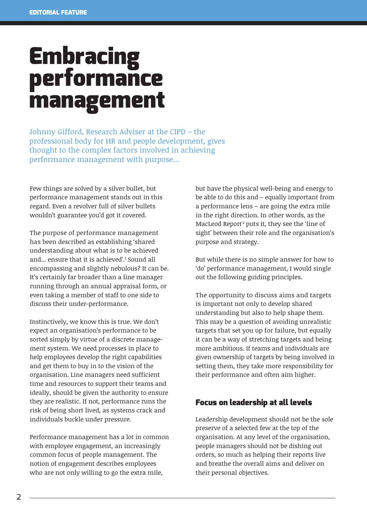# **Embracing performance management**

Johnny Gifford, Research Adviser at the CIPD – the professional body for HR and people development, gives thought to the complex factors involved in achieving performance management with purpose…

Few things are solved by a silver bullet, but performance management stands out in this regard. Even a revolver full of silver bullets wouldn't guarantee you'd got it covered.

The purpose of performance management has been described as establishing 'shared understanding about what is to be achieved and... ensure that it is achieved'.1 Sound all encompassing and slightly nebulous? It can be. It's certainly far broader than a line manager running through an annual appraisal form, or even taking a member of staff to one side to discuss their under-performance.

Instinctively, we know this is true. We don't expect an organisation's performance to be sorted simply by virtue of a discrete management system. We need processes in place to help employees develop the right capabilities and get them to buy in to the vision of the organisation. Line managers need sufficient time and resources to support their teams and ideally, should be given the authority to ensure they are realistic. If not, performance runs the risk of being short lived, as systems crack and individuals buckle under pressure.

Performance management has a lot in common with employee engagement, an increasingly common focus of people management. The notion of engagement describes employees who are not only willing to go the extra mile,

but have the physical well-being and energy to be able to do this and – equally important from a performance lens – are going the extra mile in the right direction. In other words, as the MacLeod Report<sup>2</sup> puts it, they see the 'line of sight' between their role and the organisation's purpose and strategy.

But while there is no simple answer for how to 'do' performance management, I would single out the following guiding principles.

The opportunity to discuss aims and targets is important not only to develop shared understanding but also to help shape them. This may be a question of avoiding unrealistic targets that set you up for failure, but equally it can be a way of stretching targets and being more ambitious. If teams and individuals are given ownership of targets by being involved in setting them, they take more responsibility for their performance and often aim higher.

#### **Focus on leadership at all levels**

Leadership development should not be the sole preserve of a selected few at the top of the organisation. At any level of the organisation, people managers should not be dishing out orders, so much as helping their reports live and breathe the overall aims and deliver on their personal objectives.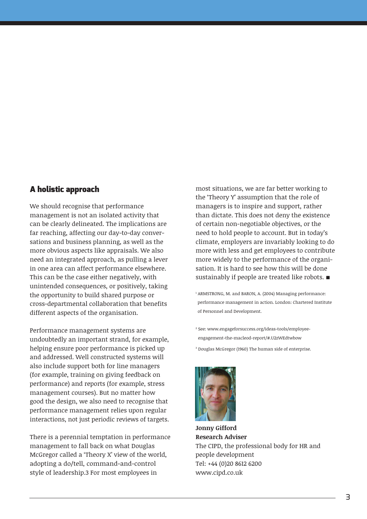#### **A holistic approach**

We should recognise that performance management is not an isolated activity that can be clearly delineated. The implications are far reaching, affecting our day-to-day conversations and business planning, as well as the more obvious aspects like appraisals. We also need an integrated approach, as pulling a lever in one area can affect performance elsewhere. This can be the case either negatively, with unintended consequences, or positively, taking the opportunity to build shared purpose or cross-departmental collaboration that benefits different aspects of the organisation.

Performance management systems are undoubtedly an important strand, for example, helping ensure poor performance is picked up and addressed. Well constructed systems will also include support both for line managers (for example, training on giving feedback on performance) and reports (for example, stress management courses). But no matter how good the design, we also need to recognise that performance management relies upon regular interactions, not just periodic reviews of targets.

There is a perennial temptation in performance management to fall back on what Douglas McGregor called a 'Theory X' view of the world, adopting a do/tell, command-and-control style of leadership.3 For most employees in

most situations, we are far better working to the 'Theory Y' assumption that the role of managers is to inspire and support, rather than dictate. This does not deny the existence of certain non-negotiable objectives, or the need to hold people to account. But in today's climate, employers are invariably looking to do more with less and get employees to contribute more widely to the performance of the organisation. It is hard to see how this will be done sustainably if people are treated like robots. ■

<sup>1</sup> ARMSTRONG, M. and BARON, A. (2004) Managing performance: performance management in action. London: Chartered Institute of Personnel and Development.

<sup>2</sup> See: www.engageforsuccess.org/ideas-tools/employeeengagement-the-macleod-report/#.U2zWEdtwbow <sup>3</sup> Douglas McGregor (1960) The human side of enterprise.



**Jonny Gifford Research Adviser** The CIPD, the professional body for HR and people development Tel: +44 (0)20 8612 6200 www.cipd.co.uk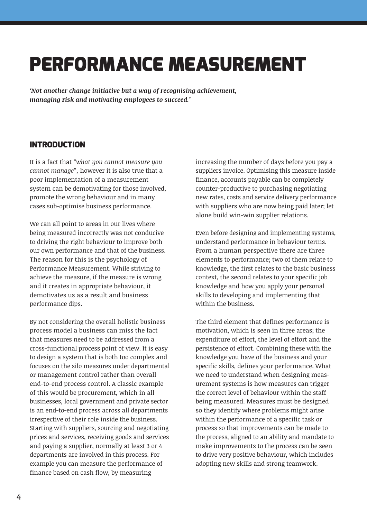# **PERFORMANCE MEASUREMENT**

*'Not another change initiative but a way of recognising achievement, managing risk and motivating employees to succeed.'*

#### **INTRODUCTION**

It is a fact that *"what you cannot measure you cannot manage",* however it is also true that a poor implementation of a measurement system can be demotivating for those involved, promote the wrong behaviour and in many cases sub-optimise business performance.

We can all point to areas in our lives where being measured incorrectly was not conducive to driving the right behaviour to improve both our own performance and that of the business. The reason for this is the psychology of Performance Measurement. While striving to achieve the measure, if the measure is wrong and it creates in appropriate behaviour, it demotivates us as a result and business performance dips.

By not considering the overall holistic business process model a business can miss the fact that measures need to be addressed from a cross-functional process point of view. It is easy to design a system that is both too complex and focuses on the silo measures under departmental or management control rather than overall end-to-end process control. A classic example of this would be procurement, which in all businesses, local government and private sector is an end-to-end process across all departments irrespective of their role inside the business. Starting with suppliers, sourcing and negotiating prices and services, receiving goods and services and paying a supplier, normally at least 3 or 4 departments are involved in this process. For example you can measure the performance of finance based on cash flow, by measuring

increasing the number of days before you pay a suppliers invoice. Optimising this measure inside finance, accounts payable can be completely counter-productive to purchasing negotiating new rates, costs and service delivery performance with suppliers who are now being paid later; let alone build win-win supplier relations.

Even before designing and implementing systems, understand performance in behaviour terms. From a human perspective there are three elements to performance; two of them relate to knowledge, the first relates to the basic business context, the second relates to your specific job knowledge and how you apply your personal skills to developing and implementing that within the business.

The third element that defines performance is motivation, which is seen in three areas; the expenditure of effort, the level of effort and the persistence of effort. Combining these with the knowledge you have of the business and your specific skills, defines your performance. What we need to understand when designing measurement systems is how measures can trigger the correct level of behaviour within the staff being measured. Measures must be designed so they identify where problems might arise within the performance of a specific task or process so that improvements can be made to the process, aligned to an ability and mandate to make improvements to the process can be seen to drive very positive behaviour, which includes adopting new skills and strong teamwork.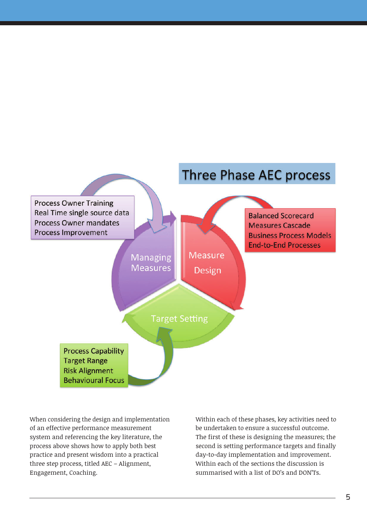

When considering the design and implementation of an effective performance measurement system and referencing the key literature, the process above shows how to apply both best practice and present wisdom into a practical three step process, titled AEC – Alignment, Engagement, Coaching.

Within each of these phases, key activities need to be undertaken to ensure a successful outcome. The first of these is designing the measures; the second is setting performance targets and finally day-to-day implementation and improvement. Within each of the sections the discussion is summarised with a list of DO's and DON'Ts.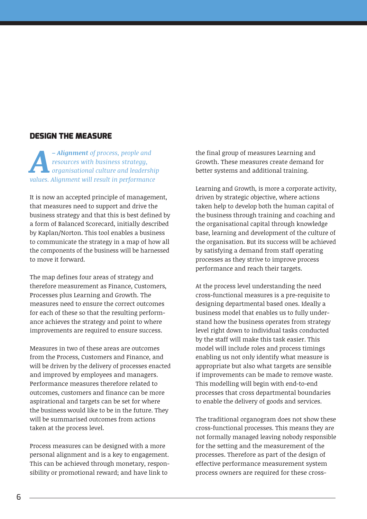#### **DESIGN THE MEASURE**

*Alignment of process, people and*<br>resources with business strategy,<br>organisational culture and leadersly<br>alignment will result in performance *resources with business strategy, organisational culture and leadership values. Alignment will result in performance*

It is now an accepted principle of management, that measures need to support and drive the business strategy and that this is best defined by a form of Balanced Scorecard, initially described by Kaplan/Norton. This tool enables a business to communicate the strategy in a map of how all the components of the business will be harnessed to move it forward.

The map defines four areas of strategy and therefore measurement as Finance, Customers, Processes plus Learning and Growth. The measures need to ensure the correct outcomes for each of these so that the resulting performance achieves the strategy and point to where improvements are required to ensure success.

Measures in two of these areas are outcomes from the Process, Customers and Finance, and will be driven by the delivery of processes enacted and improved by employees and managers. Performance measures therefore related to outcomes, customers and finance can be more aspirational and targets can be set for where the business would like to be in the future. They will be summarised outcomes from actions taken at the process level.

Process measures can be designed with a more personal alignment and is a key to engagement. This can be achieved through monetary, responsibility or promotional reward; and have link to

the final group of measures Learning and Growth. These measures create demand for better systems and additional training.

Learning and Growth, is more a corporate activity, driven by strategic objective, where actions taken help to develop both the human capital of the business through training and coaching and the organisational capital through knowledge base, learning and development of the culture of the organisation. But its success will be achieved by satisfying a demand from staff operating processes as they strive to improve process performance and reach their targets.

At the process level understanding the need cross-functional measures is a pre-requisite to designing departmental based ones. Ideally a business model that enables us to fully understand how the business operates from strategy level right down to individual tasks conducted by the staff will make this task easier. This model will include roles and process timings enabling us not only identify what measure is appropriate but also what targets are sensible if improvements can be made to remove waste. This modelling will begin with end-to-end processes that cross departmental boundaries to enable the delivery of goods and services.

The traditional organogram does not show these cross-functional processes. This means they are not formally managed leaving nobody responsible for the setting and the measurement of the processes. Therefore as part of the design of effective performance measurement system process owners are required for these cross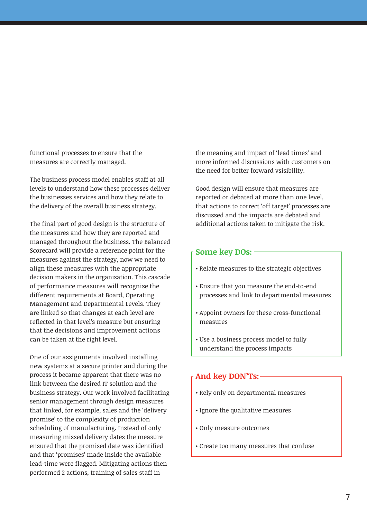functional processes to ensure that the measures are correctly managed.

The business process model enables staff at all levels to understand how these processes deliver the businesses services and how they relate to the delivery of the overall business strategy.

The final part of good design is the structure of the measures and how they are reported and managed throughout the business. The Balanced Scorecard will provide a reference point for the measures against the strategy, now we need to align these measures with the appropriate decision makers in the organisation. This cascade of performance measures will recognise the different requirements at Board, Operating Management and Departmental Levels. They are linked so that changes at each level are reflected in that level's measure but ensuring that the decisions and improvement actions can be taken at the right level.

One of our assignments involved installing new systems at a secure printer and during the process it became apparent that there was no link between the desired IT solution and the business strategy. Our work involved facilitating senior management through design measures that linked, for example, sales and the 'delivery promise' to the complexity of production scheduling of manufacturing. Instead of only measuring missed delivery dates the measure ensured that the promised date was identified and that 'promises' made inside the available lead-time were flagged. Mitigating actions then performed 2 actions, training of sales staff in

the meaning and impact of 'lead times' and more informed discussions with customers on the need for better forward vsisibility.

Good design will ensure that measures are reported or debated at more than one level, that actions to correct 'off target' processes are discussed and the impacts are debated and additional actions taken to mitigate the risk.

#### **Some key DOs:**

- Relate measures to the strategic objectives
- Ensure that you measure the end-to-end processes and link to departmental measures
- Appoint owners for these cross-functional measures
- Use a business process model to fully understand the process impacts

#### **And key DON'Ts:**

- Rely only on departmental measures
- Ignore the qualitative measures
- Only measure outcomes
- Create too many measures that confuse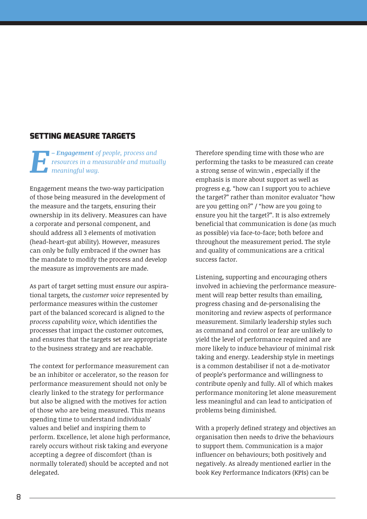#### **SETTING MEASURE TARGETS**

*Engagement of people, process and*<br>resources in a measurable and mutud<br>meaningful way. *resources in a measurable and mutually meaningful way.*

Engagement means the two-way participation of those being measured in the development of the measure and the targets, ensuring their ownership in its delivery. Measures can have a corporate and personal component, and should address all 3 elements of motivation (head-heart-gut ability). However, measures can only be fully embraced if the owner has the mandate to modify the process and develop the measure as improvements are made.

As part of target setting must ensure our aspirational targets, the *customer voice* represented by performance measures within the customer part of the balanced scorecard is aligned to the *process capability voice*, which identifies the processes that impact the customer outcomes, and ensures that the targets set are appropriate to the business strategy and are reachable.

The context for performance measurement can be an inhibitor or accelerator, so the reason for performance measurement should not only be clearly linked to the strategy for performance but also be aligned with the motives for action of those who are being measured. This means spending time to understand individuals' values and belief and inspiring them to perform. Excellence, let alone high performance, rarely occurs without risk taking and everyone accepting a degree of discomfort (than is normally tolerated) should be accepted and not delegated.

Therefore spending time with those who are performing the tasks to be measured can create a strong sense of win:win , especially if the emphasis is more about support as well as progress e.g. "how can I support you to achieve the target?" rather than monitor evaluator "how are you getting on?" / "how are you going to ensure you hit the target?". It is also extremely beneficial that communication is done (as much as possible) via face-to-face; both before and throughout the measurement period. The style and quality of communications are a critical success factor.

Listening, supporting and encouraging others involved in achieving the performance measurement will reap better results than emailing, progress chasing and de-personalising the monitoring and review aspects of performance measurement. Similarly leadership styles such as command and control or fear are unlikely to yield the level of performance required and are more likely to induce behaviour of minimal risk taking and energy. Leadership style in meetings is a common destabiliser if not a de-motivator of people's performance and willingness to contribute openly and fully. All of which makes performance monitoring let alone measurement less meaningful and can lead to anticipation of problems being diminished.

With a properly defined strategy and objectives an organisation then needs to drive the behaviours to support them. Communication is a major influencer on behaviours; both positively and negatively. As already mentioned earlier in the book Key Performance Indicators (KPIs) can be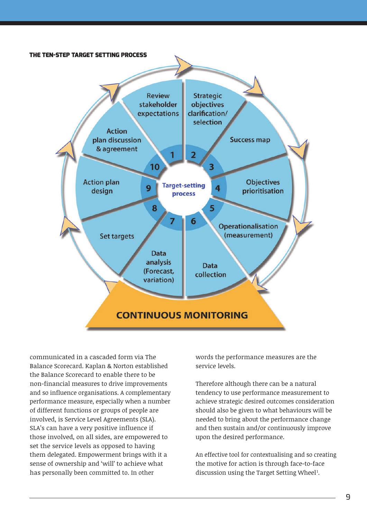

communicated in a cascaded form via The Balance Scorecard. Kaplan & Norton established the Balance Scorecard to enable there to be non-financial measures to drive improvements and so influence organisations. A complementary performance measure, especially when a number of different functions or groups of people are involved, is Service Level Agreements (SLA). SLA's can have a very positive influence if those involved, on all sides, are empowered to set the service levels as opposed to having them delegated. Empowerment brings with it a sense of ownership and 'will' to achieve what has personally been committed to. In other

words the performance measures are the service levels.

Therefore although there can be a natural tendency to use performance measurement to achieve strategic desired outcomes consideration should also be given to what behaviours will be needed to bring about the performance change and then sustain and/or continuously improve upon the desired performance.

An effective tool for contextualising and so creating the motive for action is through face-to-face discussion using the Target Setting Wheel<sup>1</sup>.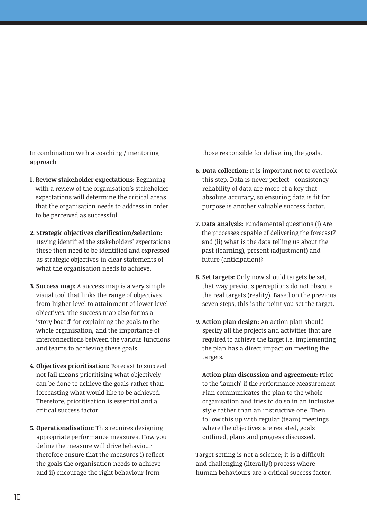In combination with a coaching / mentoring approach

- **1. Review stakeholder expectations:** Beginning with a review of the organisation's stakeholder expectations will determine the critical areas that the organisation needs to address in order to be perceived as successful.
- **2. Strategic objectives clarification/selection:** Having identified the stakeholders' expectations these then need to be identified and expressed as strategic objectives in clear statements of what the organisation needs to achieve.
- **3. Success map:** A success map is a very simple visual tool that links the range of objectives from higher level to attainment of lower level objectives. The success map also forms a 'story board' for explaining the goals to the whole organisation, and the importance of interconnections between the various functions and teams to achieving these goals.
- **4. Objectives prioritisation:** Forecast to succeed not fail means prioritising what objectively can be done to achieve the goals rather than forecasting what would like to be achieved. Therefore, prioritisation is essential and a critical success factor.
- **5. Operationalisation:** This requires designing appropriate performance measures. How you define the measure will drive behaviour therefore ensure that the measures i) reflect the goals the organisation needs to achieve and ii) encourage the right behaviour from

those responsible for delivering the goals.

- **6. Data collection:** It is important not to overlook this step. Data is never perfect - consistency reliability of data are more of a key that absolute accuracy, so ensuring data is fit for purpose is another valuable success factor.
- **7. Data analysis:** Fundamental questions (i) Are the processes capable of delivering the forecast? and (ii) what is the data telling us about the past (learning), present (adjustment) and future (anticipation)?
- **8. Set targets:** Only now should targets be set, that way previous perceptions do not obscure the real targets (reality). Based on the previous seven steps, this is the point you set the target.
- **9. Action plan design:** An action plan should specify all the projects and activities that are required to achieve the target i.e. implementing the plan has a direct impact on meeting the targets.

**9. Action plan discussion and agreement:** Prior to the 'launch' if the Performance Measurement Plan communicates the plan to the whole organisation and tries to do so in an inclusive style rather than an instructive one. Then follow this up with regular (team) meetings where the objectives are restated, goals outlined, plans and progress discussed.

Target setting is not a science; it is a difficult and challenging (literally!) process where human behaviours are a critical success factor.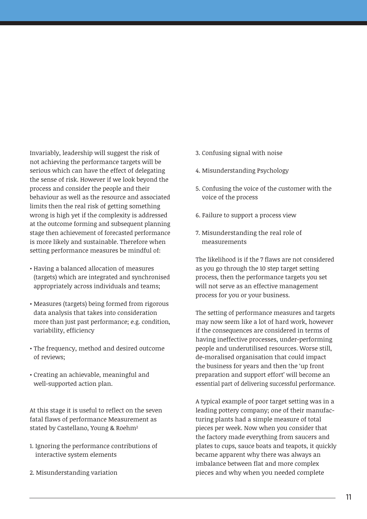Invariably, leadership will suggest the risk of not achieving the performance targets will be serious which can have the effect of delegating the sense of risk. However if we look beyond the process and consider the people and their behaviour as well as the resource and associated limits then the real risk of getting something wrong is high yet if the complexity is addressed at the outcome forming and subsequent planning stage then achievement of forecasted performance is more likely and sustainable. Therefore when setting performance measures be mindful of:

- Having a balanced allocation of measures (targets) which are integrated and synchronised appropriately across individuals and teams;
- Measures (targets) being formed from rigorous data analysis that takes into consideration more than just past performance; e.g. condition, variability, efficiency
- The frequency, method and desired outcome of reviews;
- Creating an achievable, meaningful and well-supported action plan.

At this stage it is useful to reflect on the seven fatal flaws of performance Measurement as stated by Castellano, Young & Roehm<sup>2</sup>

- 1. Ignoring the performance contributions of interactive system elements
- 2. Misunderstanding variation
- 3. Confusing signal with noise
- 4. Misunderstanding Psychology
- 5. Confusing the voice of the customer with the voice of the process
- 6. Failure to support a process view
- 7. Misunderstanding the real role of measurements

The likelihood is if the 7 flaws are not considered as you go through the 10 step target setting process, then the performance targets you set will not serve as an effective management process for you or your business.

The setting of performance measures and targets may now seem like a lot of hard work, however if the consequences are considered in terms of having ineffective processes, under-performing people and underutilised resources. Worse still, de-moralised organisation that could impact the business for years and then the 'up front preparation and support effort' will become an essential part of delivering successful performance.

A typical example of poor target setting was in a leading pottery company; one of their manufacturing plants had a simple measure of total pieces per week. Now when you consider that the factory made everything from saucers and plates to cups, sauce boats and teapots, it quickly became apparent why there was always an imbalance between flat and more complex pieces and why when you needed complete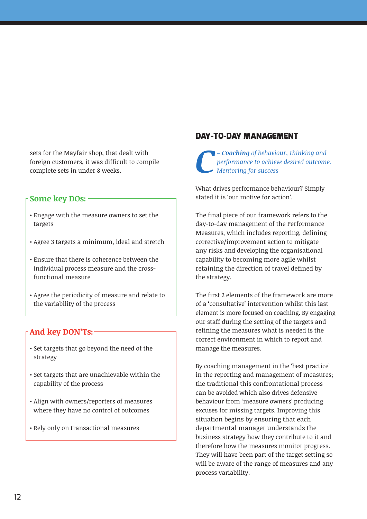sets for the Mayfair shop, that dealt with foreign customers, it was difficult to compile complete sets in under 8 weeks.

#### **Some key DOs:**

- Engage with the measure owners to set the targets
- Agree 3 targets a minimum, ideal and stretch
- Ensure that there is coherence between the individual process measure and the crossfunctional measure
- Agree the periodicity of measure and relate to the variability of the process

#### **And key DON'Ts:**

- Set targets that go beyond the need of the strategy
- Set targets that are unachievable within the capability of the process
- Align with owners/reporters of measures where they have no control of outcomes
- Rely only on transactional measures

#### **DAY-TO-DAY MANAGEMENT**

*C– Coaching of behaviour, thinking and performance to achieve desired outcome. Mentoring for success*

What drives performance behaviour? Simply stated it is 'our motive for action'.

The final piece of our framework refers to the day-to-day management of the Performance Measures, which includes reporting, defining corrective/improvement action to mitigate any risks and developing the organisational capability to becoming more agile whilst retaining the direction of travel defined by the strategy.

The first 2 elements of the framework are more of a 'consultative' intervention whilst this last element is more focused on coaching. By engaging our staff during the setting of the targets and refining the measures what is needed is the correct environment in which to report and manage the measures.

By coaching management in the 'best practice' in the reporting and management of measures; the traditional this confrontational process can be avoided which also drives defensive behaviour from 'measure owners' producing excuses for missing targets. Improving this situation begins by ensuring that each departmental manager understands the business strategy how they contribute to it and therefore how the measures monitor progress. They will have been part of the target setting so will be aware of the range of measures and any process variability.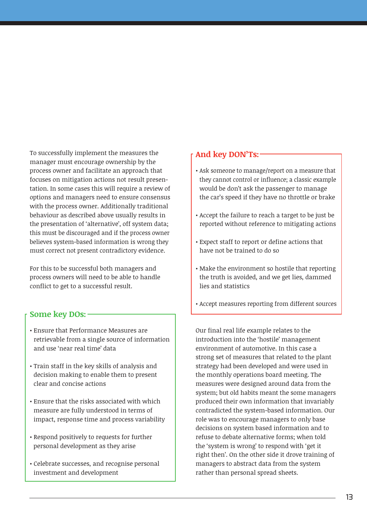To successfully implement the measures the manager must encourage ownership by the process owner and facilitate an approach that focuses on mitigation actions not result presentation. In some cases this will require a review of options and managers need to ensure consensus with the process owner. Additionally traditional behaviour as described above usually results in the presentation of 'alternative', off system data; this must be discouraged and if the process owner believes system-based information is wrong they must correct not present contradictory evidence.

For this to be successful both managers and process owners will need to be able to handle conflict to get to a successful result.

#### **Some key DOs:**

- Ensure that Performance Measures are retrievable from a single source of information and use 'near real time' data
- Train staff in the key skills of analysis and decision making to enable them to present clear and concise actions
- Ensure that the risks associated with which measure are fully understood in terms of impact, response time and process variability
- Respond positively to requests for further personal development as they arise
- Celebrate successes, and recognise personal investment and development

#### **And key DON'Ts:**

- Ask someone to manage/report on a measure that they cannot control or influence; a classic example would be don't ask the passenger to manage the car's speed if they have no throttle or brake
- Accept the failure to reach a target to be just be reported without reference to mitigating actions
- Expect staff to report or define actions that have not be trained to do so
- Make the environment so hostile that reporting the truth is avoided, and we get lies, dammed lies and statistics
- Accept measures reporting from different sources

Our final real life example relates to the introduction into the 'hostile' management environment of automotive. In this case a strong set of measures that related to the plant strategy had been developed and were used in the monthly operations board meeting. The measures were designed around data from the system; but old habits meant the some managers produced their own information that invariably contradicted the system-based information. Our role was to encourage managers to only base decisions on system based information and to refuse to debate alternative forms; when told the 'system is wrong' to respond with 'get it right then'. On the other side it drove training of managers to abstract data from the system rather than personal spread sheets.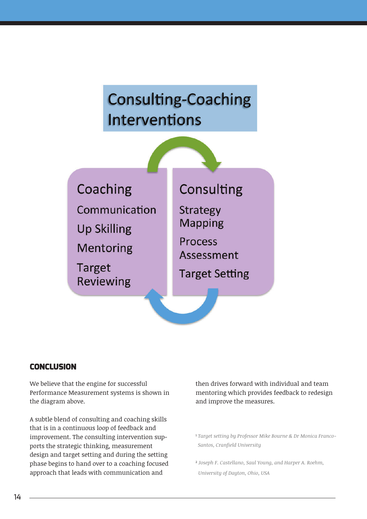# **Consulting-Coaching Interventions**

Coaching Communication **Up Skilling Mentoring Target** 

**Reviewing** 

### Consulting

**Strategy Mapping** 

**Process** Assessment

**Target Setting** 

#### **CONCLUSION**

We believe that the engine for successful Performance Measurement systems is shown in the diagram above.

A subtle blend of consulting and coaching skills that is in a continuous loop of feedback and improvement. The consulting intervention supports the strategic thinking, measurement design and target setting and during the setting phase begins to hand over to a coaching focused approach that leads with communication and

then drives forward with individual and team mentoring which provides feedback to redesign and improve the measures.

- <sup>1</sup> *Target setting by Professor Mike Bourne & Dr Monica Franco-Santos, Cranfield University*
- <sup>2</sup> *Joseph F. Castellano, Saul Young, and Harper A. Roehm, University of Dayton, Ohio, USA*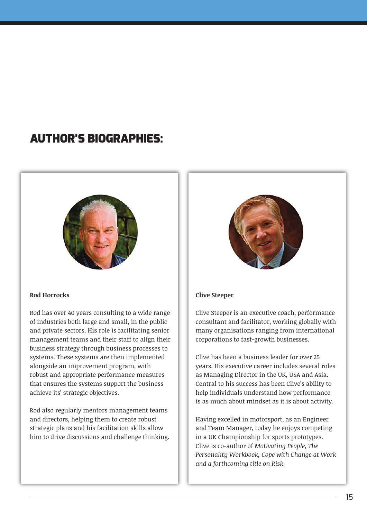### **AUTHOR'S BIOGRAPHIES:**



#### **Rod Horrocks**

Rod has over 40 years consulting to a wide range of industries both large and small, in the public and private sectors. His role is facilitating senior management teams and their staff to align their business strategy through business processes to systems. These systems are then implemented alongside an improvement program, with robust and appropriate performance measures that ensures the systems support the business achieve its' strategic objectives.

Rod also regularly mentors management teams and directors, helping them to create robust strategic plans and his facilitation skills allow him to drive discussions and challenge thinking.



#### **Clive Steeper**

Clive Steeper is an executive coach, performance consultant and facilitator, working globally with many organisations ranging from international corporations to fast-growth businesses.

Clive has been a business leader for over 25 years. His executive career includes several roles as Managing Director in the UK, USA and Asia. Central to his success has been Clive's ability to help individuals understand how performance is as much about mindset as it is about activity.

Having excelled in motorsport, as an Engineer and Team Manager, today he enjoys competing in a UK Championship for sports prototypes. Clive is co-author of *Motivating People, The Personality Workbook, Cope with Change at Work and a forthcoming title on Risk.*